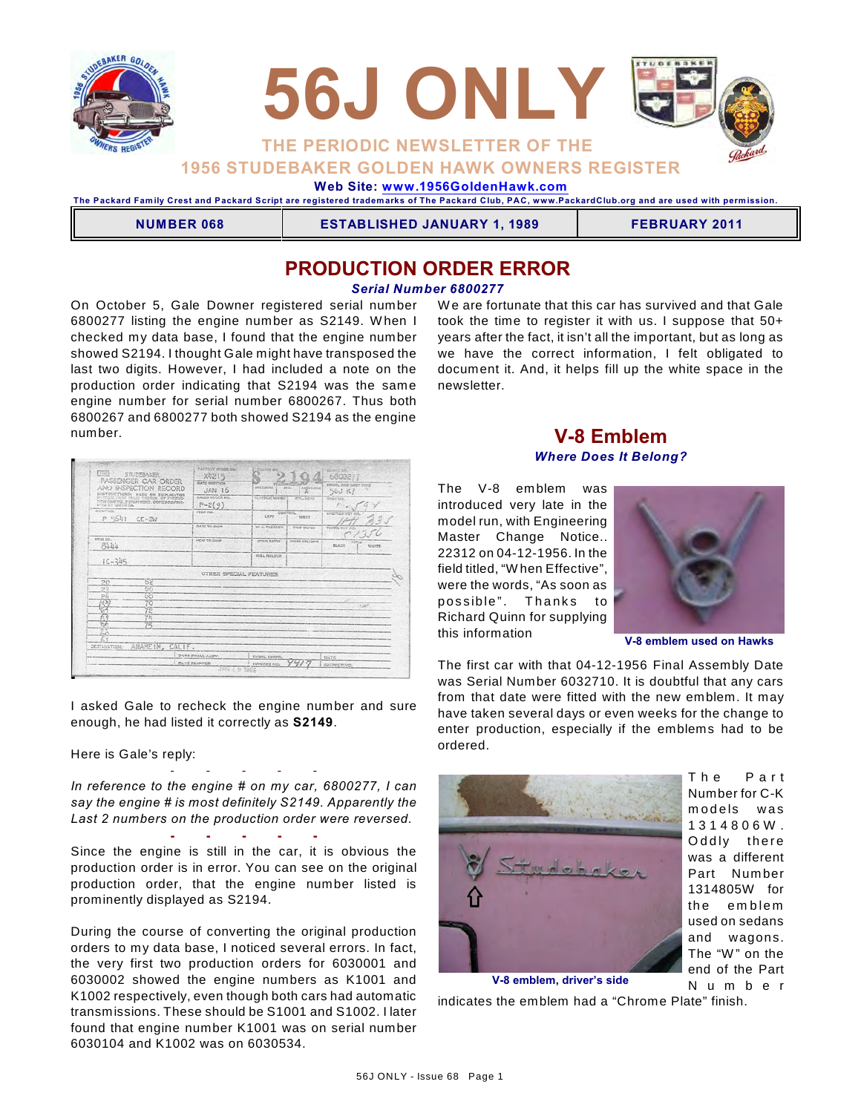



# **1956 STUDEBAKER GOLDEN HAWK OWNERS REGISTER**

 **Web Site: [www.1956GoldenHawk.com](http://www.1956GoldenHawk.com)**

**The Packard Fam ily Crest and Packard Script are registered tradem arks of The Packard Club, PAC, www.PackardClub.org and are used with perm ission.** 

**NUMBER 068 ESTABLISHED JANUARY 1, 1989 FEBRUARY 2011**

## **PRODUCTION ORDER ERROR**

#### *Serial Number 6800277*

On October 5, Gale Downer registered serial number 6800277 listing the engine number as S2149. W hen I checked my data base, I found that the engine number showed S2194. I thought Gale might have transposed the last two digits. However, I had included a note on the production order indicating that S2194 was the same engine number for serial number 6800267. Thus both 6800267 and 6800277 both showed S2194 as the engine number.

We are fortunate that this car has survived and that Gale took the time to register it with us. I suppose that 50+ years after the fact, it isn't all the important, but as long as we have the correct information, I felt obligated to document it. And, it helps fill up the white space in the newsletter.

| $F_{1,20}$<br>STUDEBAKER<br>PASSENGER CAR ORDER                                                            | FACTONY drugs (vg.)<br>X8215          | <b>Littlesteed dies</b> |                       | WEIGHT GA<br>68002            |
|------------------------------------------------------------------------------------------------------------|---------------------------------------|-------------------------|-----------------------|-------------------------------|
| AND INSPECTION RECORD<br><b>UNSTRUCTIONS: MADE ON DUPLICATOR</b>                                           | <b>DATE WHITTEN</b><br>JAN 16         | <b>OVERDENC</b>         | $-27.8$<br>Augustato  | EDOCL 250 SOOT TYPE<br>56J K7 |
| scienced conto excep expens. aw problems<br>TION CONTROL DEPARTMENT, COPIES DISTING-<br>UTCC AD ICROVITION | <b>GALCO OS/UPR RO.</b><br>$P - 2(9)$ | TA USTRAC MARKET        | CYS. MESS             | <b>BODY NO.</b>               |
| PAINT SOL<br>P 5641<br>$CE-SW$                                                                             | <b>FEED NO.</b>                       | 1.997                   | CONTROL.<br>RIGHT     | edesimon itsy into            |
|                                                                                                            | DATE TO END                           | W.A. CLEANER            | TUIT CLASS            | VISING WHY SIG.               |
| <b>TRIM HO.</b><br>8444                                                                                    | <b>PCW TO SKIP</b>                    | CEAS BATIO              | <b>POURR STECHNIC</b> | <b>BLANK</b><br><b>WAITE</b>  |
| $1C - 345$                                                                                                 |                                       | <b>FILL NOLDCR</b>      |                       | ÷                             |
|                                                                                                            | OTHER SPECIAL FEATURES                |                         |                       |                               |
| b2<br>20<br>66                                                                                             |                                       |                         |                       |                               |
| 23<br>2h<br>60                                                                                             |                                       |                         |                       |                               |
| 70<br>ъ                                                                                                    |                                       |                         |                       | <b>Kingdom</b>                |
| 72<br>Ÿĥ,                                                                                                  |                                       |                         |                       |                               |
| 嚙                                                                                                          |                                       |                         |                       |                               |
| 'nл                                                                                                        |                                       |                         |                       |                               |
| ANAHEIM, CALIF.<br>OESTIMATION:                                                                            |                                       |                         |                       |                               |
|                                                                                                            | <b>CATEFINAL ASSY.</b>                | FINAL INGPR.            |                       | DATE                          |
|                                                                                                            | <b>DATE SHIPPED</b>                   | <b>IMVOICE NO</b>       |                       | <b>SHIPPER NO</b>             |

I asked Gale to recheck the engine number and sure enough, he had listed it correctly as **S2149**.

Here is Gale's reply:

- - - - - *In reference to the engine # on my car, 6800277, I can say the engine # is most definitely S2149. Apparently the Last 2 numbers on the production order were reversed.*

**- - - - -** Since the engine is still in the car, it is obvious the production order is in error. You can see on the original production order, that the engine number listed is prominently displayed as S2194.

During the course of converting the original production orders to my data base, I noticed several errors. In fact, the very first two production orders for 6030001 and 6030002 showed the engine numbers as K1001 and K1002 respectively, even though both cars had automatic transmissions. These should be S1001 and S1002. I later found that engine number K1001 was on serial number 6030104 and K1002 was on 6030534.

### **V-8 Emblem** *Where Does It Belong?*

The V-8 emblem was introduced very late in the model run, with Engineering Master Change Notice.. 22312 on 04-12-1956. In the field titled, "W hen Effective", were the words, "As soon as possible". Thanks to Richard Quinn for supplying this information



**V-8 emblem used on Hawks**

The first car with that 04-12-1956 Final Assembly Date was Serial Number 6032710. It is doubtful that any cars from that date were fitted with the new emblem. It may have taken several days or even weeks for the change to enter production, especially if the emblems had to be ordered.



The Part Number for C-K m o dels was 1 3 1 4 8 0 6 W . Oddly there was a different Part Num ber 1314805W for the emblem used on sedans and wagons. The "W" on the end of the Part N u m b e r

indicates the emblem had a "Chrome Plate" finish. **V-8 emblem, driver's side**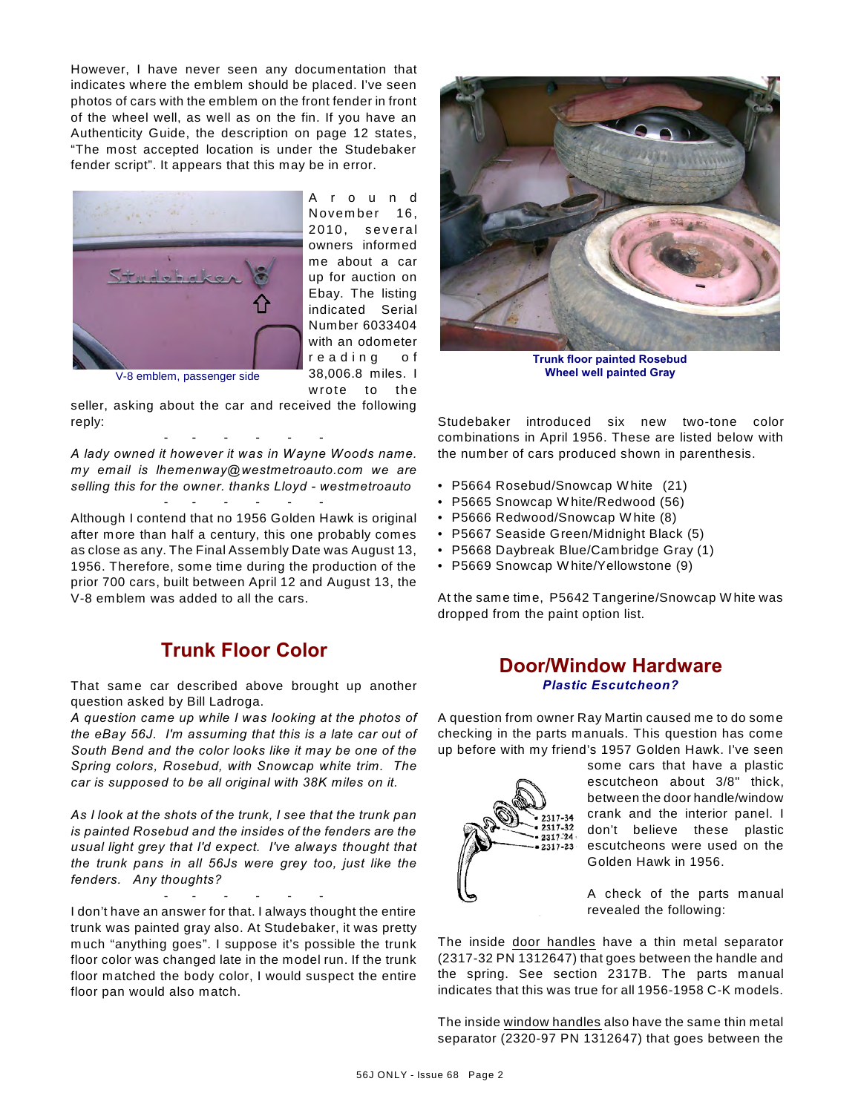However, I have never seen any documentation that indicates where the emblem should be placed. I've seen photos of cars with the emblem on the front fender in front of the wheel well, as well as on the fin. If you have an Authenticity Guide, the description on page 12 states, "The most accepted location is under the Studebaker fender script". It appears that this may be in error.



A r o u n d November 16, 2010. several owners informed me about a car up for auction on Ebay. The listing indicated Serial Number 6033404 with an odometer reading of 38,006.8 miles. I wrote to the

V-8 emblem, passenger side

seller, asking about the car and received the following reply:

- - - - - - *A lady owned it however it was in Wayne Woods name. my email is lhemenway@westmetroauto.com we are selling this for the owner. thanks Lloyd - westmetroauto* - - - - - -

Although I contend that no 1956 Golden Hawk is original after more than half a century, this one probably comes as close as any. The Final Assembly Date was August 13, 1956. Therefore, some time during the production of the prior 700 cars, built between April 12 and August 13, the V-8 emblem was added to all the cars.

## **Trunk Floor Color**

That same car described above brought up another question asked by Bill Ladroga.

*A question came up while I was looking at the photos of the eBay 56J. I'm assuming that this is a late car out of South Bend and the color looks like it may be one of the Spring colors, Rosebud, with Snowcap white trim. The car is supposed to be all original with 38K miles on it.*

*As I look at the shots of the trunk, I see that the trunk pan is painted Rosebud and the insides of the fenders are the usual light grey that I'd expect. I've always thought that the trunk pans in all 56Js were grey too, just like the fenders. Any thoughts?*

- - - - - - I don't have an answer for that. I always thought the entire trunk was painted gray also. At Studebaker, it was pretty much "anything goes". I suppose it's possible the trunk floor color was changed late in the model run. If the trunk floor matched the body color, I would suspect the entire floor pan would also match.



**Trunk floor painted Rosebud Wheel well painted Gray**

Studebaker introduced six new two-tone color combinations in April 1956. These are listed below with the number of cars produced shown in parenthesis.

- P5664 Rosebud/Snowcap W hite (21)
- P5665 Snowcap W hite/Redwood (56)
- P5666 Redwood/Snowcap W hite (8)
- P5667 Seaside Green/Midnight Black (5)
- P5668 Daybreak Blue/Cambridge Gray (1)
- P5669 Snowcap W hite/Yellowstone (9)

At the same time, P5642 Tangerine/Snowcap W hite was dropped from the paint option list.

### **Door/Window Hardware** *Plastic Escutcheon?*

A question from owner Ray Martin caused me to do some checking in the parts manuals. This question has come up before with my friend's 1957 Golden Hawk. I've seen



some cars that have a plastic escutcheon about 3/8" thick, between the door handle/window crank and the interior panel. I don't believe these plastic escutcheons were used on the Golden Hawk in 1956.

A check of the parts manual revealed the following:

The inside door handles have a thin metal separator (2317-32 PN 1312647) that goes between the handle and the spring. See section 2317B. The parts manual indicates that this was true for all 1956-1958 C-K models.

The inside window handles also have the same thin metal separator (2320-97 PN 1312647) that goes between the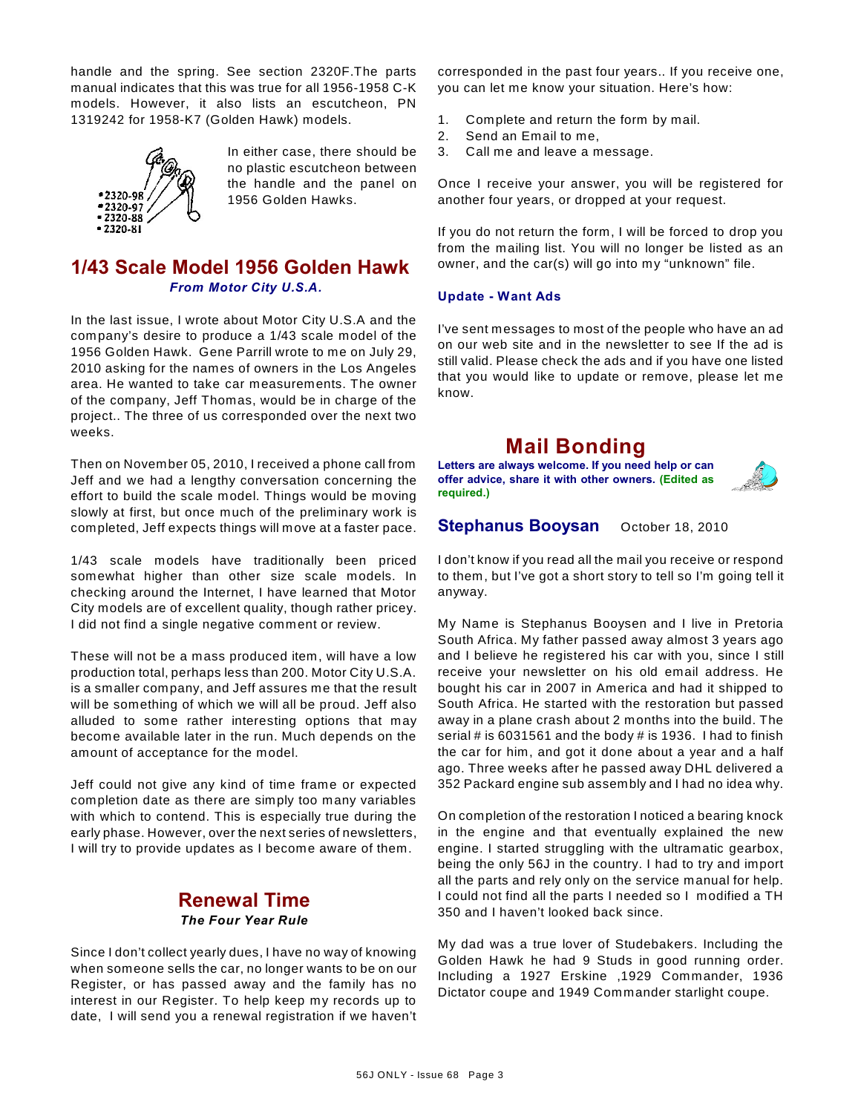handle and the spring. See section 2320F.The parts manual indicates that this was true for all 1956-1958 C-K models. However, it also lists an escutcheon, PN 1319242 for 1958-K7 (Golden Hawk) models.



In either case, there should be no plastic escutcheon between the handle and the panel on 1956 Golden Hawks.

## **1/43 Scale Model 1956 Golden Hawk** *From Motor City U.S.A.*

In the last issue, I wrote about Motor City U.S.A and the company's desire to produce a 1/43 scale model of the 1956 Golden Hawk. Gene Parrill wrote to me on July 29, 2010 asking for the names of owners in the Los Angeles area. He wanted to take car measurements. The owner of the company, Jeff Thomas, would be in charge of the project.. The three of us corresponded over the next two weeks.

Then on November 05, 2010, I received a phone call from Jeff and we had a lengthy conversation concerning the effort to build the scale model. Things would be moving slowly at first, but once much of the preliminary work is completed, Jeff expects things will move at a faster pace.

1/43 scale models have traditionally been priced somewhat higher than other size scale models. In checking around the Internet, I have learned that Motor City models are of excellent quality, though rather pricey. I did not find a single negative comment or review.

These will not be a mass produced item, will have a low production total, perhaps less than 200. Motor City U.S.A. is a smaller company, and Jeff assures me that the result will be something of which we will all be proud. Jeff also alluded to some rather interesting options that may become available later in the run. Much depends on the amount of acceptance for the model.

Jeff could not give any kind of time frame or expected completion date as there are simply too many variables with which to contend. This is especially true during the early phase. However, over the next series of newsletters, I will try to provide updates as I become aware of them.

### **Renewal Time** *The Four Year Rule*

Since I don't collect yearly dues, I have no way of knowing when someone sells the car, no longer wants to be on our Register, or has passed away and the family has no interest in our Register. To help keep my records up to date, I will send you a renewal registration if we haven't

corresponded in the past four years.. If you receive one, you can let me know your situation. Here's how:

- 1. Complete and return the form by mail.
- 2. Send an Email to me,
- 3. Call me and leave a message.

Once I receive your answer, you will be registered for another four years, or dropped at your request.

If you do not return the form, I will be forced to drop you from the mailing list. You will no longer be listed as an owner, and the car(s) will go into my "unknown" file.

#### **Update - Want Ads**

I've sent messages to most of the people who have an ad on our web site and in the newsletter to see If the ad is still valid. Please check the ads and if you have one listed that you would like to update or remove, please let me know.

# **Mail Bonding**

**Letters are always welcome. If you need help or can offer advice, share it with other owners. (Edited as required.)**



### **Stephanus Booysan** October 18, 2010

I don't know if you read all the mail you receive or respond to them, but I've got a short story to tell so I'm going tell it anyway.

My Name is Stephanus Booysen and I live in Pretoria South Africa. My father passed away almost 3 years ago and I believe he registered his car with you, since I still receive your newsletter on his old email address. He bought his car in 2007 in America and had it shipped to South Africa. He started with the restoration but passed away in a plane crash about 2 months into the build. The serial # is 6031561 and the body # is 1936. I had to finish the car for him, and got it done about a year and a half ago. Three weeks after he passed away DHL delivered a 352 Packard engine sub assembly and I had no idea why.

On completion of the restoration I noticed a bearing knock in the engine and that eventually explained the new engine. I started struggling with the ultramatic gearbox, being the only 56J in the country. I had to try and import all the parts and rely only on the service manual for help. I could not find all the parts I needed so I modified a TH 350 and I haven't looked back since.

My dad was a true lover of Studebakers. Including the Golden Hawk he had 9 Studs in good running order. Including a 1927 Erskine ,1929 Commander, 1936 Dictator coupe and 1949 Commander starlight coupe.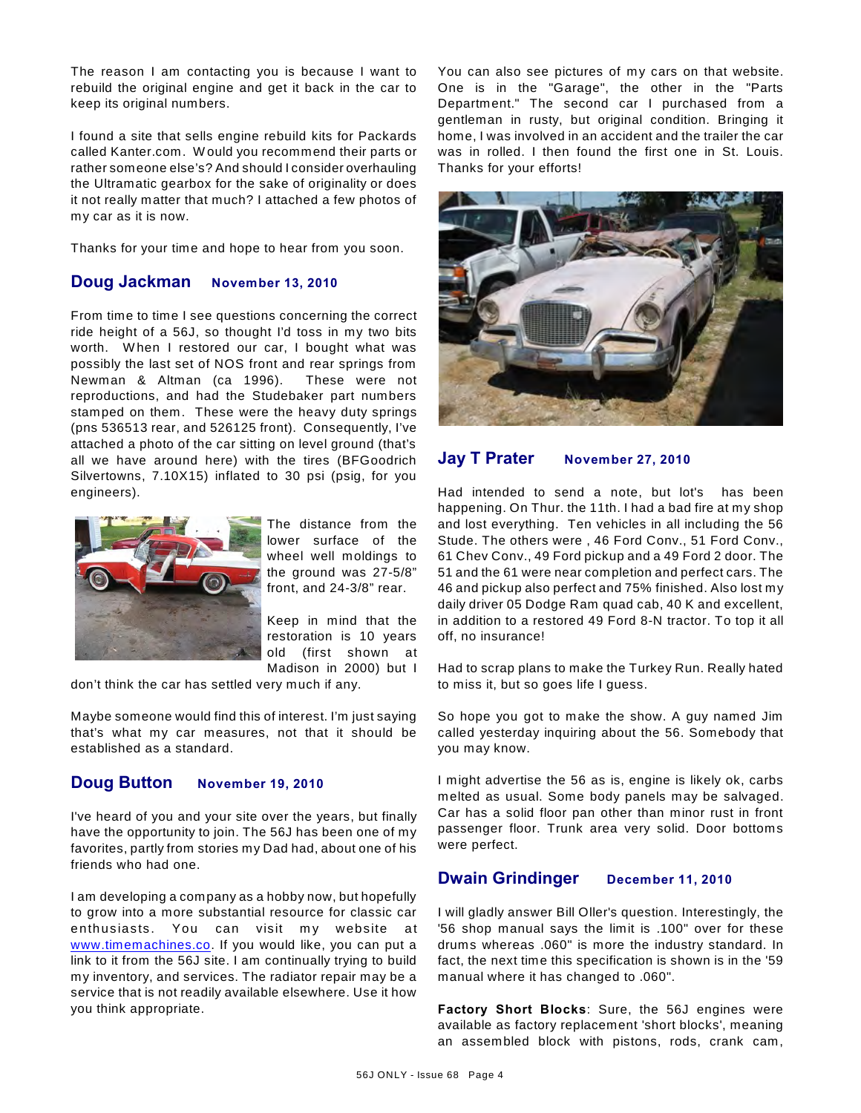The reason I am contacting you is because I want to rebuild the original engine and get it back in the car to keep its original numbers.

I found a site that sells engine rebuild kits for Packards called Kanter.com. W ould you recommend their parts or rather someone else's? And should I consider overhauling the Ultramatic gearbox for the sake of originality or does it not really matter that much? I attached a few photos of my car as it is now.

Thanks for your time and hope to hear from you soon.

#### **Doug Jackman November 13, 2010**

From time to time I see questions concerning the correct ride height of a 56J, so thought I'd toss in my two bits worth. When I restored our car, I bought what was possibly the last set of NOS front and rear springs from Newman & Altman (ca 1996). These were not reproductions, and had the Studebaker part numbers stamped on them. These were the heavy duty springs (pns 536513 rear, and 526125 front). Consequently, I've attached a photo of the car sitting on level ground (that's all we have around here) with the tires (BFGoodrich Silvertowns, 7.10X15) inflated to 30 psi (psig, for you engineers).



The distance from the lower surface of the wheel well moldings to the ground was 27-5/8" front, and 24-3/8" rear.

Keep in mind that the restoration is 10 years old (first shown at Madison in 2000) but I

don't think the car has settled very much if any.

Maybe someone would find this of interest. I'm just saying that's what my car measures, not that it should be established as a standard.

#### **Doug Button November 19, 2010**

I've heard of you and your site over the years, but finally have the opportunity to join. The 56J has been one of my favorites, partly from stories my Dad had, about one of his friends who had one.

I am developing a company as a hobby now, but hopefully to grow into a more substantial resource for classic car enthusiasts. You can visit my website at [www.timemachines.co](http://www.timemachines.co). If you would like, you can put a link to it from the 56J site. I am continually trying to build my inventory, and services. The radiator repair may be a service that is not readily available elsewhere. Use it how you think appropriate.

You can also see pictures of my cars on that website. One is in the "Garage", the other in the "Parts Department." The second car I purchased from a gentleman in rusty, but original condition. Bringing it home, I was involved in an accident and the trailer the car was in rolled. I then found the first one in St. Louis. Thanks for your efforts!



### **Jay T Prater November 27, 2010**

Had intended to send a note, but lot's has been happening. On Thur. the 11th. I had a bad fire at my shop and lost everything. Ten vehicles in all including the 56 Stude. The others were , 46 Ford Conv., 51 Ford Conv., 61 Chev Conv., 49 Ford pickup and a 49 Ford 2 door. The 51 and the 61 were near completion and perfect cars. The 46 and pickup also perfect and 75% finished. Also lost my daily driver 05 Dodge Ram quad cab, 40 K and excellent, in addition to a restored 49 Ford 8-N tractor. To top it all off, no insurance!

Had to scrap plans to make the Turkey Run. Really hated to miss it, but so goes life I guess.

So hope you got to make the show. A guy named Jim called yesterday inquiring about the 56. Somebody that you may know.

I might advertise the 56 as is, engine is likely ok, carbs melted as usual. Some body panels may be salvaged. Car has a solid floor pan other than minor rust in front passenger floor. Trunk area very solid. Door bottoms were perfect.

### **Dwain Grindinger December 11, 2010**

I will gladly answer Bill Oller's question. Interestingly, the '56 shop manual says the limit is .100" over for these drums whereas .060" is more the industry standard. In fact, the next time this specification is shown is in the '59 manual where it has changed to .060".

**Factory Short Blocks**: Sure, the 56J engines were available as factory replacement 'short blocks', meaning an assembled block with pistons, rods, crank cam,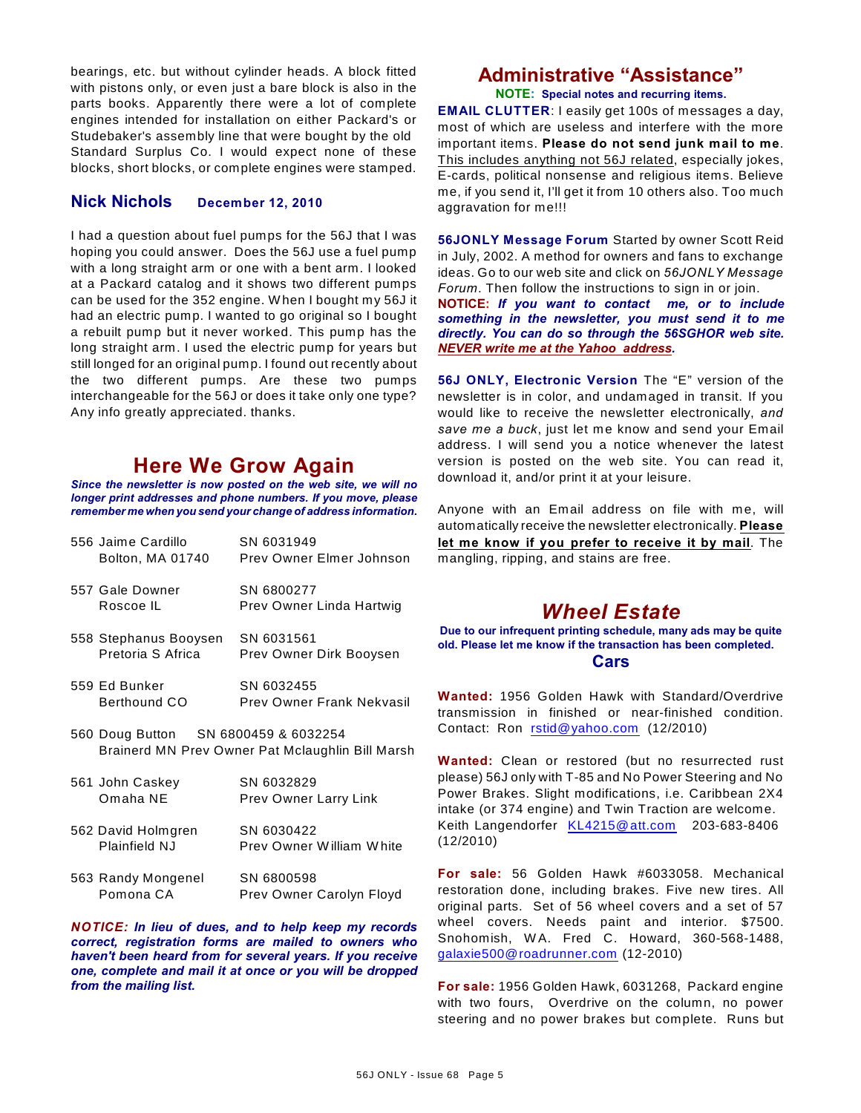bearings, etc. but without cylinder heads. A block fitted with pistons only, or even just a bare block is also in the parts books. Apparently there were a lot of complete engines intended for installation on either Packard's or Studebaker's assembly line that were bought by the old Standard Surplus Co. I would expect none of these blocks, short blocks, or complete engines were stamped.

#### **Nick Nichols December 12, 2010**

I had a question about fuel pumps for the 56J that I was hoping you could answer. Does the 56J use a fuel pump with a long straight arm or one with a bent arm. I looked at a Packard catalog and it shows two different pumps can be used for the 352 engine. W hen I bought my 56J it had an electric pump. I wanted to go original so I bought a rebuilt pump but it never worked. This pump has the long straight arm. I used the electric pump for years but still longed for an original pump. I found out recently about the two different pumps. Are these two pumps interchangeable for the 56J or does it take only one type? Any info greatly appreciated. thanks.

# **Here We Grow Again**

*Since the newsletter is now posted on the web site, we will no longer print addresses and phone numbers. If you move, please remember me when you send your change of address information.*

| 556 Jaime Cardillo                   | SN 6031949                                       |
|--------------------------------------|--------------------------------------------------|
| Bolton, MA 01740                     | Prev Owner Elmer Johnson                         |
| 557 Gale Downer                      | SN 6800277                                       |
| Roscoe IL                            | Prev Owner Linda Hartwig                         |
| 558 Stephanus Booysen                | SN 6031561                                       |
| Pretoria S Africa                    | Prev Owner Dirk Booysen                          |
| 559 Ed Bunker                        | SN 6032455                                       |
| Berthound CO                         | Prev Owner Frank Nekvasil                        |
| 560 Doug Button SN 6800459 & 6032254 |                                                  |
|                                      | Brainerd MN Prev Owner Pat Mclaughlin Bill Marsh |
| 561 John Caskey                      | SN 6032829                                       |
| Omaha NE                             | <b>Prev Owner Larry Link</b>                     |
| 562 David Holmgren                   | SN 6030422                                       |
| Plainfield NJ                        | Prev Owner William White                         |
|                                      |                                                  |

563 Randy Mongenel SN 6800598 Pomona CA Prev Owner Carolyn Floyd

*NOTICE: In lieu of dues, and to help keep my records correct, registration forms are mailed to owners who haven't been heard from for several years. If you receive one, complete and mail it at once or you will be dropped from the mailing list.*

### **Administrative "Assistance" NOTE: Special notes and recurring items.**

**EMAIL CLUTTER**: I easily get 100s of messages a day, most of which are useless and interfere with the more important items. **Please do not send junk mail to me**. This includes anything not 56J related, especially jokes, E-cards, political nonsense and religious items. Believe me, if you send it, I'll get it from 10 others also. Too much aggravation for me!!!

**56JONLY Message Forum** Started by owner Scott Reid in July, 2002. A method for owners and fans to exchange ideas. Go to our web site and click on *56JONLY Message Forum*. Then follow the instructions to sign in or join. **NOTICE:** *If you want to contact me, or to include something in the newsletter, you must send it to me directly. You can do so through the 56SGHOR web site. NEVER write me at the Yahoo address.*

**56J ONLY, Electronic Version** The "E" version of the newsletter is in color, and undamaged in transit. If you would like to receive the newsletter electronically, *and save me a buck*, just let me know and send your Email address. I will send you a notice whenever the latest version is posted on the web site. You can read it, download it, and/or print it at your leisure.

Anyone with an Email address on file with me, will automatically receive the newsletter electronically. **Please let me know if you prefer to receive it by mail**. The mangling, ripping, and stains are free.

# *Wheel Estate*

**Due to our infrequent printing schedule, many ads may be quite old. Please let me know if the transaction has been completed. Cars**

**Wanted:** 1956 Golden Hawk with Standard/Overdrive transmission in finished or near-finished condition. Contact: Ron [rstid@yahoo.com](mailto:rstid@yahoo.com) (12/2010)

**Wanted:** Clean or restored (but no resurrected rust please) 56J only with T-85 and No Power Steering and No Power Brakes. Slight modifications, i.e. Caribbean 2X4 intake (or 374 engine) and Twin Traction are welcome. Keith Langendorfer [KL4215@att.com](mailto:KL4215@att.com) 203-683-8406 (12/2010)

**For sale:** 56 Golden Hawk #6033058. Mechanical restoration done, including brakes. Five new tires. All original parts. Set of 56 wheel covers and a set of 57 wheel covers. Needs paint and interior. \$7500. Snohomish, W A. Fred C. Howard, 360-568-1488, [galaxie500@roadrunner.com](mailto:galaxie500@roadrunner.com) (12-2010)

**For sale:** 1956 Golden Hawk, 6031268, Packard engine with two fours, Overdrive on the column, no power steering and no power brakes but complete. Runs but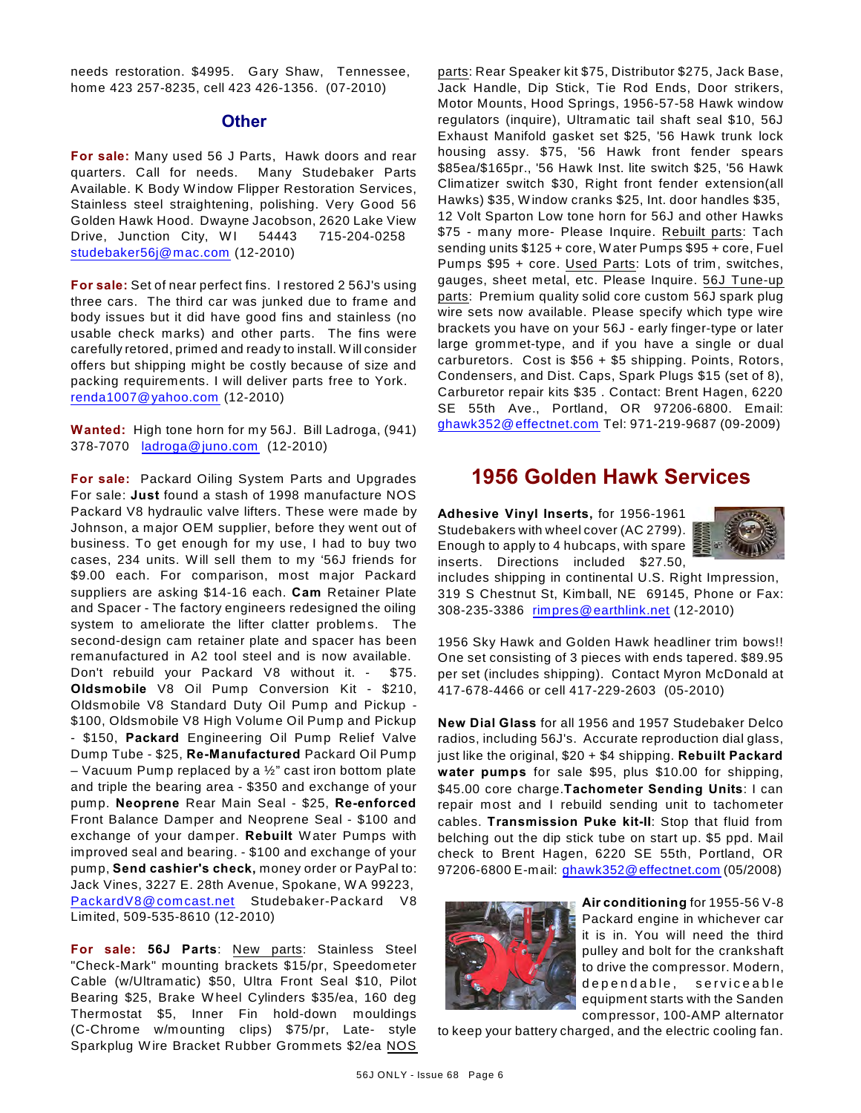needs restoration. \$4995. Gary Shaw, Tennessee, home 423 257-8235, cell 423 426-1356. (07-2010)

#### **Other**

**For sale:** Many used 56 J Parts, Hawk doors and rear quarters. Call for needs. Many Studebaker Parts Available. K Body W indow Flipper Restoration Services, Stainless steel straightening, polishing. Very Good 56 Golden Hawk Hood. Dwayne Jacobson, 2620 Lake View Drive, Junction City, WI 54443 715-204-0258 [studebaker56j@mac.com](mailto:studebaker56j@mac.com) (12-2010)

**For sale:** Set of near perfect fins. I restored 2 56J's using three cars. The third car was junked due to frame and body issues but it did have good fins and stainless (no usable check marks) and other parts. The fins were carefully retored, primed and ready to install. W ill consider offers but shipping might be costly because of size and packing requirements. I will deliver parts free to York. [renda1007@yahoo.com](mailto:renda1007@yahoo.com) (12-2010)

**Wanted:** High tone horn for my 56J. Bill Ladroga, (941) 378-7070 [ladroga@juno.com](mailto:ladroga@juno.com) (12-2010)

**For sale:** Packard Oiling System Parts and Upgrades For sale: **Just** found a stash of 1998 manufacture NOS Packard V8 hydraulic valve lifters. These were made by Johnson, a major OEM supplier, before they went out of business. To get enough for my use, I had to buy two cases, 234 units. W ill sell them to my '56J friends for \$9.00 each. For comparison, most major Packard suppliers are asking \$14-16 each. **Cam** Retainer Plate and Spacer - The factory engineers redesigned the oiling system to ameliorate the lifter clatter problems. The second-design cam retainer plate and spacer has been remanufactured in A2 tool steel and is now available.

Don't rebuild your Packard V8 without it. - \$75. **Oldsmobile** V8 Oil Pump Conversion Kit - \$210, Oldsmobile V8 Standard Duty Oil Pump and Pickup - \$100, Oldsmobile V8 High Volume Oil Pump and Pickup - \$150, **Packard** Engineering Oil Pump Relief Valve Dump Tube - \$25, **Re-Manufactured** Packard Oil Pump – Vacuum Pump replaced by a  $\frac{1}{2}$ " cast iron bottom plate and triple the bearing area - \$350 and exchange of your pump. **Neoprene** Rear Main Seal - \$25, **Re-enforced** Front Balance Damper and Neoprene Seal - \$100 and exchange of your damper. **Rebuilt** W ater Pumps with improved seal and bearing. - \$100 and exchange of your pump, **Send cashier's check,** money order or PayPal to: Jack Vines, 3227 E. 28th Avenue, Spokane, W A 99223, [PackardV8@comcast.net](mailto:PackardV8@comcast.net) Studebaker-Packard V8 Limited, 509-535-8610 (12-2010)

**For sale: 56J Parts**: New parts: Stainless Steel "Check-Mark" mounting brackets \$15/pr, Speedometer Cable (w/Ultramatic) \$50, Ultra Front Seal \$10, Pilot Bearing \$25, Brake W heel Cylinders \$35/ea, 160 deg Thermostat \$5, Inner Fin hold-down mouldings (C-Chrome w/mounting clips) \$75/pr, Late- style Sparkplug W ire Bracket Rubber Grommets \$2/ea NOS

parts: Rear Speaker kit \$75, Distributor \$275, Jack Base, Jack Handle, Dip Stick, Tie Rod Ends, Door strikers, Motor Mounts, Hood Springs, 1956-57-58 Hawk window regulators (inquire), Ultramatic tail shaft seal \$10, 56J Exhaust Manifold gasket set \$25, '56 Hawk trunk lock housing assy. \$75, '56 Hawk front fender spears \$85ea/\$165pr., '56 Hawk Inst. lite switch \$25, '56 Hawk Climatizer switch \$30, Right front fender extension(all Hawks) \$35, W indow cranks \$25, Int. door handles \$35, 12 Volt Sparton Low tone horn for 56J and other Hawks \$75 - many more- Please Inquire. Rebuilt parts: Tach sending units \$125 + core, W ater Pumps \$95 + core, Fuel Pumps \$95 + core. Used Parts: Lots of trim, switches, gauges, sheet metal, etc. Please Inquire. 56J Tune-up parts: Premium quality solid core custom 56J spark plug wire sets now available. Please specify which type wire brackets you have on your 56J - early finger-type or later large grommet-type, and if you have a single or dual carburetors. Cost is \$56 + \$5 shipping. Points, Rotors, Condensers, and Dist. Caps, Spark Plugs \$15 (set of 8), Carburetor repair kits \$35 . Contact: Brent Hagen, 6220 SE 55th Ave., Portland, OR 97206-6800. Email: [ghawk352@effectnet.com](mailto:ghawk352@effectnet.com) Tel: 971-219-9687 (09-2009)

## **1956 Golden Hawk Services**

**Adhesive Vinyl Inserts,** for 1956-1961 Studebakers with wheel cover (AC 2799). Enough to apply to 4 hubcaps, with spare inserts. Directions included \$27.50,



includes shipping in continental U.S. Right Impression, 319 S Chestnut St, Kimball, NE 69145, Phone or Fax: 308-235-3386 [rimpres@earthlink.net](mailto:rimpres@earthlink.net) (12-2010)

1956 Sky Hawk and Golden Hawk headliner trim bows!! One set consisting of 3 pieces with ends tapered. \$89.95 per set (includes shipping). Contact Myron McDonald at 417-678-4466 or cell 417-229-2603 (05-2010)

**New Dial Glass** for all 1956 and 1957 Studebaker Delco radios, including 56J's. Accurate reproduction dial glass, just like the original, \$20 + \$4 shipping. **Rebuilt Packard water pumps** for sale \$95, plus \$10.00 for shipping, \$45.00 core charge.**Tachometer Sending Units**: I can repair most and I rebuild sending unit to tachometer cables. **Transmission Puke kit-II**: Stop that fluid from belching out the dip stick tube on start up. \$5 ppd. Mail check to Brent Hagen, 6220 SE 55th, Portland, OR 97206-6800 E-mail: [ghawk352@effectnet.com](mailto:ghawk352@effectnet.com) (05/2008)



**Air conditioning** for 1955-56 V-8 Packard engine in whichever car it is in. You will need the third pulley and bolt for the crankshaft to drive the compressor. Modern, dependable, serviceable equipment starts with the Sanden compressor, 100-AMP alternator

to keep your battery charged, and the electric cooling fan.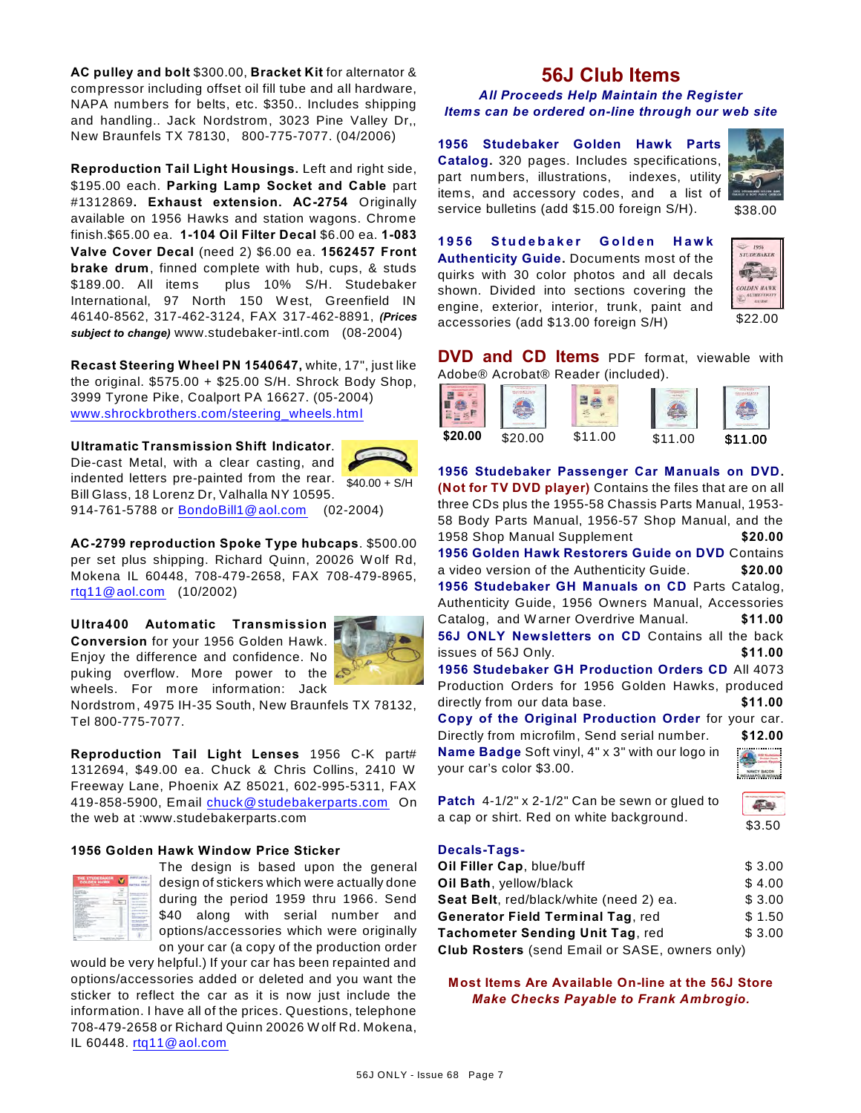**AC pulley and bolt** \$300.00, **Bracket Kit** for alternator & compressor including offset oil fill tube and all hardware, NAPA numbers for belts, etc. \$350.. Includes shipping and handling.. Jack Nordstrom, 3023 Pine Valley Dr,, New Braunfels TX 78130, 800-775-7077. (04/2006)

**Reproduction Tail Light Housings.** Left and right side, \$195.00 each. **Parking Lamp Socket and Cable** part #1312869**. Exhaust extension. AC-2754** Originally available on 1956 Hawks and station wagons. Chrome finish.\$65.00 ea. **1-104 Oil Filter Decal** \$6.00 ea. **1-083 Valve Cover Decal** (need 2) \$6.00 ea. **1562457 Front brake drum**, finned complete with hub, cups, & studs \$189.00. All items plus 10% S/H. Studebaker International, 97 North 150 W est, Greenfield IN 46140-8562, 317-462-3124, FAX 317-462-8891, *(Prices subject to change)* www.studebaker-intl.com (08-2004)

**Recast Steering Wheel PN 1540647,** white, 17", just like the original.  $$575.00 + $25.00$  S/H. Shrock Body Shop, 3999 Tyrone Pike, Coalport PA 16627. (05-2004) [www.shrockbrothers.com/steering\\_wheels.html](http://www.shrockbrothers.com/steering_wheels.html)

indented letters pre-painted from the rear.  $\frac{1}{\$40.00}$  + S/H **Ultramatic Transmission Shift Indicator**. Die-cast Metal, with a clear casting, and Bill Glass, 18 Lorenz Dr, Valhalla NY 10595.



914-761-5788 or [BondoBill1@aol.com](mailto:BondoBill1@aol.com) (02-2004)

**AC-2799 reproduction Spoke Type hubcaps**. \$500.00 per set plus shipping. Richard Quinn, 20026 W olf Rd, Mokena IL 60448, 708-479-2658, FAX 708-479-8965, [rtq11@aol.com](mailto:rtq11@aol.com) (10/2002)

**Ultra400 Automatic Transmission Conversion** for your 1956 Golden Hawk. Enjoy the difference and confidence. No puking overflow. More power to the wheels. For more information: Jack



Nordstrom, 4975 IH-35 South, New Braunfels TX 78132, Tel 800-775-7077.

**Reproduction Tail Light Lenses** 1956 C-K part# 1312694, \$49.00 ea. Chuck & Chris Collins, 2410 W Freeway Lane, Phoenix AZ 85021, 602-995-5311, FAX 419-858-5900, Email [chuck@studebakerparts.com](mailto:chuck@studebakerparts.com) On the web at :www.studebakerparts.com

#### **1956 Golden Hawk Window Price Sticker**



The design is based upon the general design of stickers which were actually done during the period 1959 thru 1966. Send \$40 along with serial number and options/accessories which were originally on your car (a copy of the production order

would be very helpful.) If your car has been repainted and options/accessories added or deleted and you want the sticker to reflect the car as it is now just include the information. I have all of the prices. Questions, telephone 708-479-2658 or Richard Quinn 20026 W olf Rd. Mokena, IL 60448. [rtq11@aol.com](mailto:rtq11@aol.com)

## **56J Club Items**

*All Proceeds Help Maintain the Register Items can be ordered on-line through our web site*

**1956 Studebaker Golden Hawk Parts Catalog.** 320 pages. Includes specifications, part numbers, illustrations, indexes, utility items, and accessory codes, and a list of service bulletins (add \$15.00 foreign S/H).



\$38.00

**1 9 5 6 S t u d e b a k e r G o l d e n H a w k Authenticity Guide.** Documents most of the quirks with 30 color photos and all decals shown. Divided into sections covering the engine, exterior, interior, trunk, paint and accessories (add \$13.00 foreign S/H)



**DVD and CD Items** PDF format, viewable with Adobe® Acrobat® Reader (included).

| \$20.00 | ፍ20 00 | \$11.00 | \$11.00 | \$11.00 |
|---------|--------|---------|---------|---------|
|         |        |         |         |         |

**1956 Studebaker Passenger Car Manuals on DVD. (Not for TV DVD player)** Contains the files that are on all three CDs plus the 1955-58 Chassis Parts Manual, 1953- 58 Body Parts Manual, 1956-57 Shop Manual, and the 1958 Shop Manual Supplement **\$20.00 1956 Golden Hawk Restorers Guide on DVD** Contains a video version of the Authenticity Guide. **\$20.00 1956 Studebaker GH Manuals on CD** Parts Catalog, Authenticity Guide, 1956 Owners Manual, Accessories Catalog, and W arner Overdrive Manual. **\$11.00 56J ONLY Newsletters on CD** Contains all the back issues of 56J Only. **\$11.00 1956 Studebaker GH Production Orders CD** All 4073 Production Orders for 1956 Golden Hawks, produced directly from our data base. **\$11.00 Copy of the Original Production Order** for your car. Directly from microfilm, Send serial number. **\$12.00 Name Badge** Soft vinyl, 4" x 3" with our logo in your car's color \$3.00.



**Patch** 4-1/2" x 2-1/2" Can be sewn or glued to a cap or shirt. Red on white background.



#### **Decals-Tags-**

| Oil Filler Cap, blue/buff                             | \$3.00 |
|-------------------------------------------------------|--------|
| Oil Bath, yellow/black                                | \$4.00 |
| Seat Belt, red/black/white (need 2) ea.               | \$3.00 |
| <b>Generator Field Terminal Tag, red</b>              | \$1.50 |
| Tachometer Sending Unit Tag, red                      | \$3.00 |
| <b>Club Rosters</b> (send Email or SASE, owners only) |        |

**Most Items Are Available On-line at the 56J Store** *Make Checks Payable to Frank Ambrogio.*